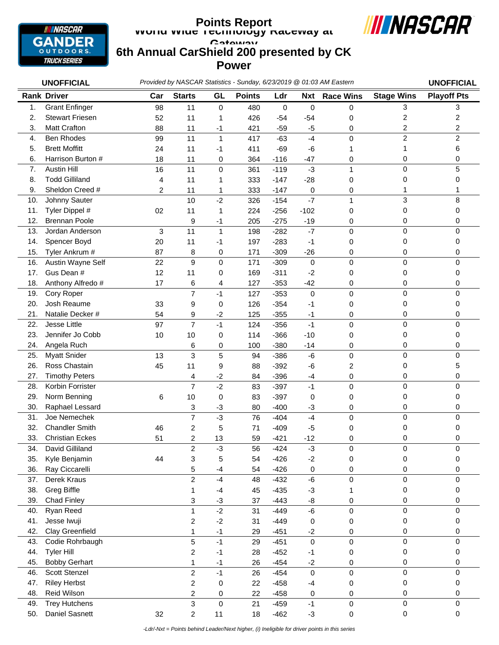

## **World Wide Technology Raceway at Gateway 6th Annual CarShield 200 presented by CK Power Points Report**



*Provided by NASCAR Statistics - Sunday, 6/23/2019 @ 01:03 AM Eastern* **UNOFFICIAL UNOFFICIAL** 1. Grant Enfinger 98 11 0 480 0 0 0 3 3 2. Stewart Friesen 52 11 1 426 -54 -54 0 2 2 3. Matt Crafton 88 11 -1 421 -59 -5 0 2 2 4. Ben Rhodes 99 11 1 417 -63 -4 0 2 2 5. Brett Moffitt 24 11 -1 411 -69 -6 1 1 6 6. Harrison Burton # 18 11 0 364 -116 -47 0 0 0 7. Austin Hill 16 11 0 361 -119 -3 1 0 5 8. Todd Gilliland 4 11 1 333 -147 -28 0 0 0 9. Sheldon Creed # 2 11 1 333 -147 0 0 1 1 10. Johnny Sauter 10 -2 326 -154 -7 1 3 8 11. Tyler Dippel # 02 11 1 224 -256 -102 0 0 0 12. Brennan Poole 9 -1 205 -275 -19 0 0 0 13. Jordan Anderson 3 11 1 198 -282 -7 0 0 0 14. Spencer Boyd 20 11 -1 197 -283 -1 0 0 0 15. Tyler Ankrum # 87 8 0 171 -309 -26 0 0 0 16. Austin Wayne Self  $22$  9 0 171 -309 0 0 0 0 0 0 17. Gus Dean # 12 11 0 169 -311 -2 0 0 0 18. Anthony Alfredo # 17 6 4 127 -353 -42 0 0 0 0 19. Cory Roper 7 -1 127 -353 0 0 0 0 20. Josh Reaume 33 9 0 126 -354 -1 0 0 0 21. Natalie Decker # 54 9 -2 125 -355 -1 0 0 0 0 22. Jesse Little 97 7 -1 124 -356 -1 0 0 0 23. Jennifer Jo Cobb 10 10 0 114 -366 -10 0 0 0 0 0 24. Angela Ruch 6 0 100 -380 -14 0 0 0 25. Myatt Snider 13 3 5 94 -386 -6 0 0 0 26. Ross Chastain 45 11 9 88 -392 -6 2 0 5 27. Timothy Peters 4 -2 84 -396 -4 0 0 0 28. Korbin Forrister 7 -2 83 -397 -1 0 0 0 29. Norm Benning 6 10 0 83 -397 0 0 0 0 30. Raphael Lessard 3 -3 80 -400 -3 0 0 0 31. Joe Nemechek 7 -3 76 -404 -4 0 0 0 32. Chandler Smith 46 2 5 71 -409 -5 0 0 0 33. Christian Eckes 51 2 13 59 -421 -12 0 0 0 34. David Gilliland 2 -3 56 -424 -3 0 0 0 35. Kyle Benjamin 44 3 5 54 -426 -2 0 0 0 36. Ray Ciccarelli 5 -4 54 -426 0 0 0 0 37. Derek Kraus 2 -4 48 -432 -6 0 0 0 38. Greg Biffle 1 -4 45 -435 -3 1 0 0 39. Chad Finley 3 -3 37 -443 -8 0 0 0 **Rank Driver Car Starts GL Points Ldr Nxt Race Wins Stage Wins Playoff Pts**

40. Ryan Reed 1 -2 31 -449 -6 0 0 0 41. Jesse Iwuji 2 -2 31 -449 0 0 0 0 42. Clay Greenfield 1 -1 29 -451 -2 0 0 0 0 43. Codie Rohrbaugh 5 -1 29 -451 0 0 0 0 44. Tyler Hill 2 -1 28 -452 -1 0 0 0 45. Bobby Gerhart 1 -1 26 -454 -2 0 0 0 46. Scott Stenzel 2 -1 26 -454 0 0 0 0 47. Riley Herbst 2 0 22 -458 -4 0 0 0 48. Reid Wilson 2 0 22 -458 0 0 0 0 49. Trey Hutchens 3 0 21 -459 -1 0 0 0